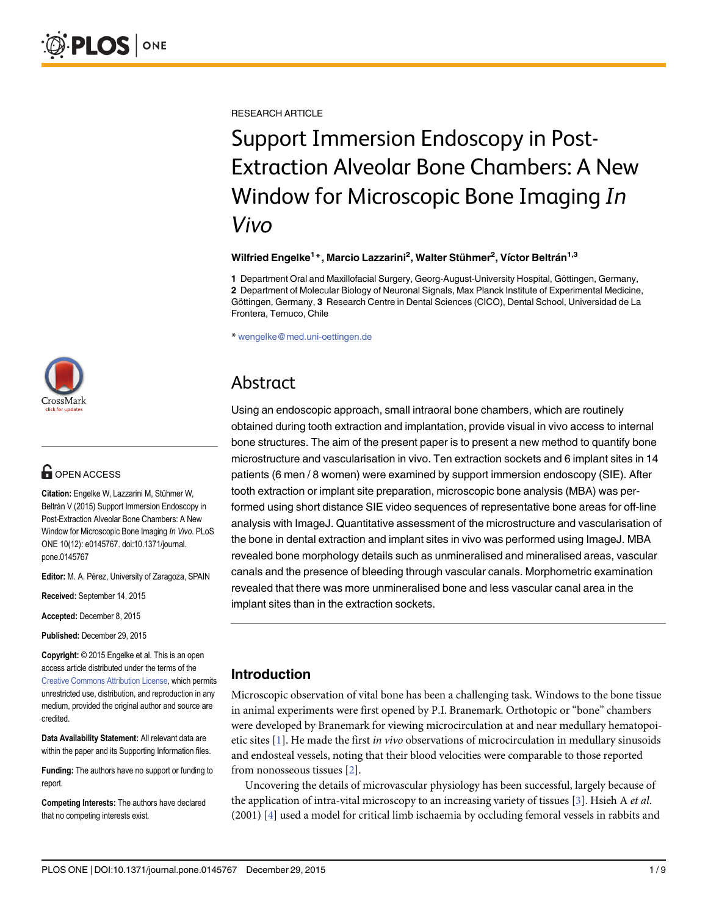<span id="page-0-0"></span>RESEARCH ARTICLE

# Support Immersion Endoscopy in Post-Extraction Alveolar Bone Chambers: A New Window for Microscopic Bone Imaging In Vivo

#### Wilfried Engelke<sup>1</sup>\*, Marcio Lazzarini<sup>2</sup>, Walter Stühmer<sup>2</sup>, Víctor Beltrán<sup>1,3</sup>

1 Department Oral and Maxillofacial Surgery, Georg-August-University Hospital, Göttingen, Germany, 2 Department of Molecular Biology of Neuronal Signals, Max Planck Institute of Experimental Medicine, Göttingen, Germany, 3 Research Centre in Dental Sciences (CICO), Dental School, Universidad de La Frontera, Temuco, Chile

\* wengelke@med.uni-oettingen.de

### Abstract

Using an endoscopic approach, small intraoral bone chambers, which are routinely obtained during tooth extraction and implantation, provide visual in vivo access to internal bone structures. The aim of the present paper is to present a new method to quantify bone microstructure and vascularisation in vivo. Ten extraction sockets and 6 implant sites in 14 patients (6 men / 8 women) were examined by support immersion endoscopy (SIE). After tooth extraction or implant site preparation, microscopic bone analysis (MBA) was performed using short distance SIE video sequences of representative bone areas for off-line analysis with ImageJ. Quantitative assessment of the microstructure and vascularisation of the bone in dental extraction and implant sites in vivo was performed using ImageJ. MBA revealed bone morphology details such as unmineralised and mineralised areas, vascular canals and the presence of bleeding through vascular canals. Morphometric examination revealed that there was more unmineralised bone and less vascular canal area in the implant sites than in the extraction sockets.

### Introduction

Microscopic observation of vital bone has been a challenging task. Windows to the bone tissue in animal experiments were first opened by P.I. Branemark. Orthotopic or "bone" chambers were developed by Branemark for viewing microcirculation at and near medullary hematopoietic sites  $[1]$  $[1]$ . He made the first *in vivo* observations of microcirculation in medullary sinusoids and endosteal vessels, noting that their blood velocities were comparable to those reported from nonosseous tissues [[2\]](#page-7-0).

Uncovering the details of microvascular physiology has been successful, largely because of the application of intra-vital microscopy to an increasing variety of tissues  $[3]$  $[3]$ . Hsieh A *et al.* (2001) [[4\]](#page-7-0) used a model for critical limb ischaemia by occluding femoral vessels in rabbits and



## **G** OPEN ACCESS

Citation: Engelke W, Lazzarini M, Stühmer W, Beltrán V (2015) Support Immersion Endoscopy in Post-Extraction Alveolar Bone Chambers: A New Window for Microscopic Bone Imaging In Vivo. PLoS ONE 10(12): e0145767. doi:10.1371/journal. pone.0145767

Editor: M. A. Pérez, University of Zaragoza, SPAIN

Received: September 14, 2015

Accepted: December 8, 2015

Published: December 29, 2015

Copyright: © 2015 Engelke et al. This is an open access article distributed under the terms of the [Creative Commons Attribution License,](http://creativecommons.org/licenses/by/4.0/) which permits unrestricted use, distribution, and reproduction in any medium, provided the original author and source are credited.

Data Availability Statement: All relevant data are within the paper and its Supporting Information files.

Funding: The authors have no support or funding to report.

Competing Interests: The authors have declared that no competing interests exist.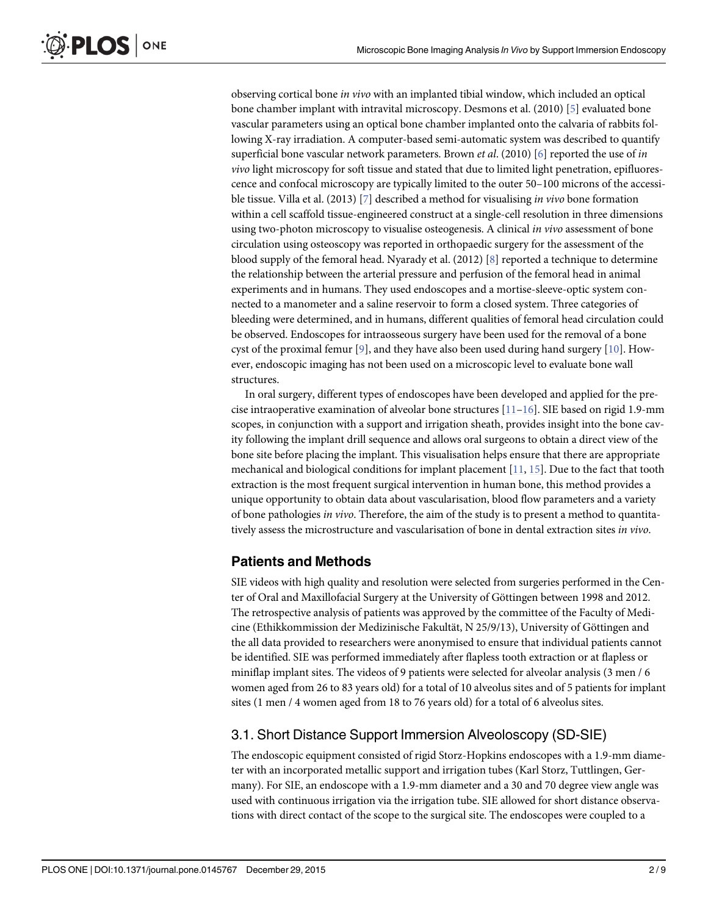<span id="page-1-0"></span>observing cortical bone in vivo with an implanted tibial window, which included an optical bone chamber implant with intravital microscopy. Desmons et al. (2010) [\[5\]](#page-7-0) evaluated bone vascular parameters using an optical bone chamber implanted onto the calvaria of rabbits following X-ray irradiation. A computer-based semi-automatic system was described to quantify superficial bone vascular network parameters. Brown *et al.* (2010) [\[6](#page-7-0)] reported the use of in vivo light microscopy for soft tissue and stated that due to limited light penetration, epifluorescence and confocal microscopy are typically limited to the outer 50–100 microns of the accessi-ble tissue. Villa et al. (2013) [\[7\]](#page-7-0) described a method for visualising *in vivo* bone formation within a cell scaffold tissue-engineered construct at a single-cell resolution in three dimensions using two-photon microscopy to visualise osteogenesis. A clinical in vivo assessment of bone circulation using osteoscopy was reported in orthopaedic surgery for the assessment of the blood supply of the femoral head. Nyarady et al. (2012) [[8](#page-7-0)] reported a technique to determine the relationship between the arterial pressure and perfusion of the femoral head in animal experiments and in humans. They used endoscopes and a mortise-sleeve-optic system connected to a manometer and a saline reservoir to form a closed system. Three categories of bleeding were determined, and in humans, different qualities of femoral head circulation could be observed. Endoscopes for intraosseous surgery have been used for the removal of a bone cyst of the proximal femur [[9](#page-7-0)], and they have also been used during hand surgery [\[10\]](#page-7-0). However, endoscopic imaging has not been used on a microscopic level to evaluate bone wall structures.

In oral surgery, different types of endoscopes have been developed and applied for the precise intraoperative examination of alveolar bone structures [\[11](#page-7-0)–[16\]](#page-7-0). SIE based on rigid 1.9-mm scopes, in conjunction with a support and irrigation sheath, provides insight into the bone cavity following the implant drill sequence and allows oral surgeons to obtain a direct view of the bone site before placing the implant. This visualisation helps ensure that there are appropriate mechanical and biological conditions for implant placement [[11](#page-7-0), [15](#page-7-0)]. Due to the fact that tooth extraction is the most frequent surgical intervention in human bone, this method provides a unique opportunity to obtain data about vascularisation, blood flow parameters and a variety of bone pathologies in vivo. Therefore, the aim of the study is to present a method to quantitatively assess the microstructure and vascularisation of bone in dental extraction sites in vivo.

#### Patients and Methods

SIE videos with high quality and resolution were selected from surgeries performed in the Center of Oral and Maxillofacial Surgery at the University of Göttingen between 1998 and 2012. The retrospective analysis of patients was approved by the committee of the Faculty of Medicine (Ethikkommission der Medizinische Fakultät, N 25/9/13), University of Göttingen and the all data provided to researchers were anonymised to ensure that individual patients cannot be identified. SIE was performed immediately after flapless tooth extraction or at flapless or miniflap implant sites. The videos of 9 patients were selected for alveolar analysis (3 men / 6 women aged from 26 to 83 years old) for a total of 10 alveolus sites and of 5 patients for implant sites (1 men / 4 women aged from 18 to 76 years old) for a total of 6 alveolus sites.

#### 3.1. Short Distance Support Immersion Alveoloscopy (SD-SIE)

The endoscopic equipment consisted of rigid Storz-Hopkins endoscopes with a 1.9-mm diameter with an incorporated metallic support and irrigation tubes (Karl Storz, Tuttlingen, Germany). For SIE, an endoscope with a 1.9-mm diameter and a 30 and 70 degree view angle was used with continuous irrigation via the irrigation tube. SIE allowed for short distance observations with direct contact of the scope to the surgical site. The endoscopes were coupled to a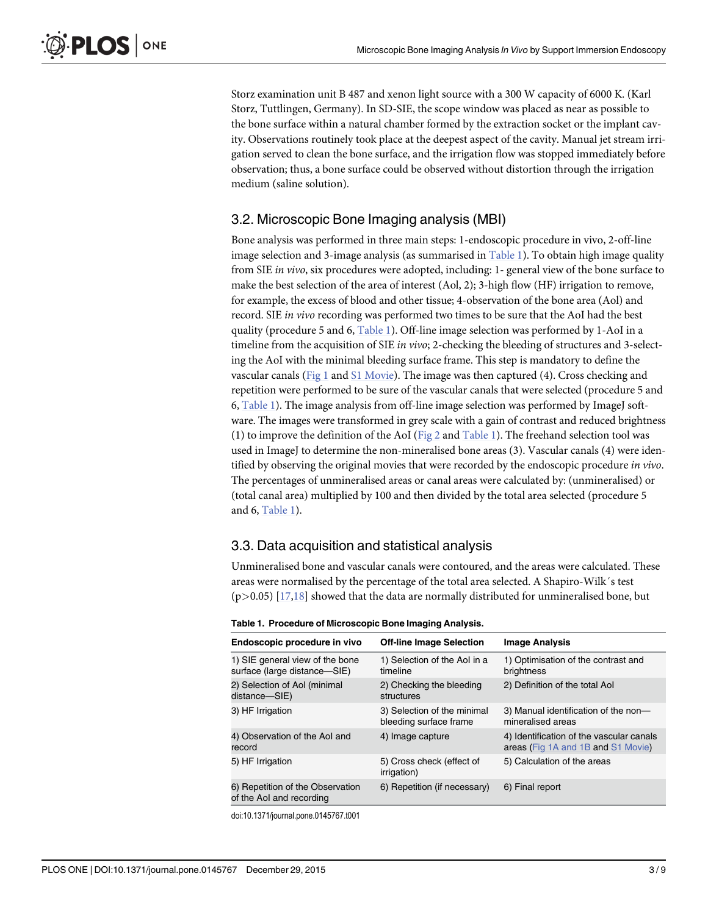<span id="page-2-0"></span>Storz examination unit B 487 and xenon light source with a 300 W capacity of 6000 K. (Karl Storz, Tuttlingen, Germany). In SD-SIE, the scope window was placed as near as possible to the bone surface within a natural chamber formed by the extraction socket or the implant cavity. Observations routinely took place at the deepest aspect of the cavity. Manual jet stream irrigation served to clean the bone surface, and the irrigation flow was stopped immediately before observation; thus, a bone surface could be observed without distortion through the irrigation medium (saline solution).

#### 3.2. Microscopic Bone Imaging analysis (MBI)

Bone analysis was performed in three main steps: 1-endoscopic procedure in vivo, 2-off-line image selection and 3-image analysis (as summarised in Table 1). To obtain high image quality from SIE in vivo, six procedures were adopted, including: 1- general view of the bone surface to make the best selection of the area of interest (Aol, 2); 3-high flow (HF) irrigation to remove, for example, the excess of blood and other tissue; 4-observation of the bone area (Aol) and record. SIE in vivo recording was performed two times to be sure that the AoI had the best quality (procedure 5 and 6,  $Table 1$ ). Off-line image selection was performed by 1-AoI in a timeline from the acquisition of SIE in vivo; 2-checking the bleeding of structures and 3-selecting the AoI with the minimal bleeding surface frame. This step is mandatory to define the vascular canals ( $Fig 1$  and  $S1$  Movie). The image was then captured (4). Cross checking and repetition were performed to be sure of the vascular canals that were selected (procedure 5 and 6, Table 1). The image analysis from off-line image selection was performed by ImageJ software. The images were transformed in grey scale with a gain of contrast and reduced brightness (1) to improve the definition of the AoI [\(Fig 2](#page-3-0) and Table 1). The freehand selection tool was used in ImageJ to determine the non-mineralised bone areas (3). Vascular canals (4) were identified by observing the original movies that were recorded by the endoscopic procedure in vivo. The percentages of unmineralised areas or canal areas were calculated by: (unmineralised) or (total canal area) multiplied by 100 and then divided by the total area selected (procedure 5 and  $6$ , Table 1).

#### 3.3. Data acquisition and statistical analysis

Unmineralised bone and vascular canals were contoured, and the areas were calculated. These areas were normalised by the percentage of the total area selected. A Shapiro-Wilk´s test  $(p>0.05)$  [[17,18](#page-7-0)] showed that the data are normally distributed for unmineralised bone, but

#### Table 1. Procedure of Microscopic Bone Imaging Analysis.

| Endoscopic procedure in vivo                                    | <b>Off-line Image Selection</b>                       | <b>Image Analysis</b>                                                          |
|-----------------------------------------------------------------|-------------------------------------------------------|--------------------------------------------------------------------------------|
| 1) SIE general view of the bone<br>surface (large distance-SIE) | 1) Selection of the Aol in a<br>timeline              | 1) Optimisation of the contrast and<br>brightness                              |
| 2) Selection of Aol (minimal<br>distance-SIE)                   | 2) Checking the bleeding<br>structures                | 2) Definition of the total AoI                                                 |
| 3) HF Irrigation                                                | 3) Selection of the minimal<br>bleeding surface frame | 3) Manual identification of the non-<br>mineralised areas                      |
| 4) Observation of the AoI and<br>record                         | 4) Image capture                                      | 4) Identification of the vascular canals<br>areas (Fig 1A and 1B and S1 Movie) |
| 5) HF Irrigation                                                | 5) Cross check (effect of<br><i>irrigation</i> )      | 5) Calculation of the areas                                                    |
| 6) Repetition of the Observation<br>of the AoI and recording    | 6) Repetition (if necessary)                          | 6) Final report                                                                |

doi:10.1371/journal.pone.0145767.t001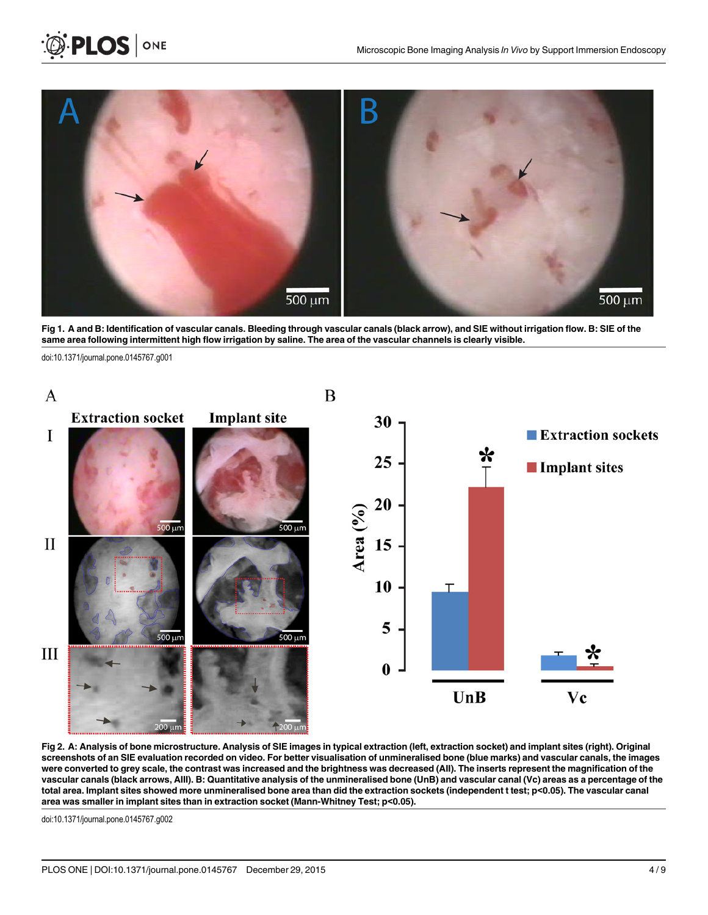

[Fig 1. A](#page-2-0) and B: Identification of vascular canals. Bleeding through vascular canals (black arrow), and SIE without irrigation flow. B: SIE of the same area following intermittent high flow irrigation by saline. The area of the vascular channels is clearly visible.

doi:10.1371/journal.pone.0145767.g001

<span id="page-3-0"></span>**PLOS** | ONE



[Fig 2. A](#page-2-0): Analysis of bone microstructure. Analysis of SIE images in typical extraction (left, extraction socket) and implant sites (right). Original screenshots of an SIE evaluation recorded on video. For better visualisation of unmineralised bone (blue marks) and vascular canals, the images were converted to grey scale, the contrast was increased and the brightness was decreased (AII). The inserts represent the magnification of the vascular canals (black arrows, AIII). B: Quantitative analysis of the unmineralised bone (UnB) and vascular canal (Vc) areas as a percentage of the total area. Implant sites showed more unmineralised bone area than did the extraction sockets (independent t test; p<0.05). The vascular canal area was smaller in implant sites than in extraction socket (Mann-Whitney Test; p<0.05).

doi:10.1371/journal.pone.0145767.g002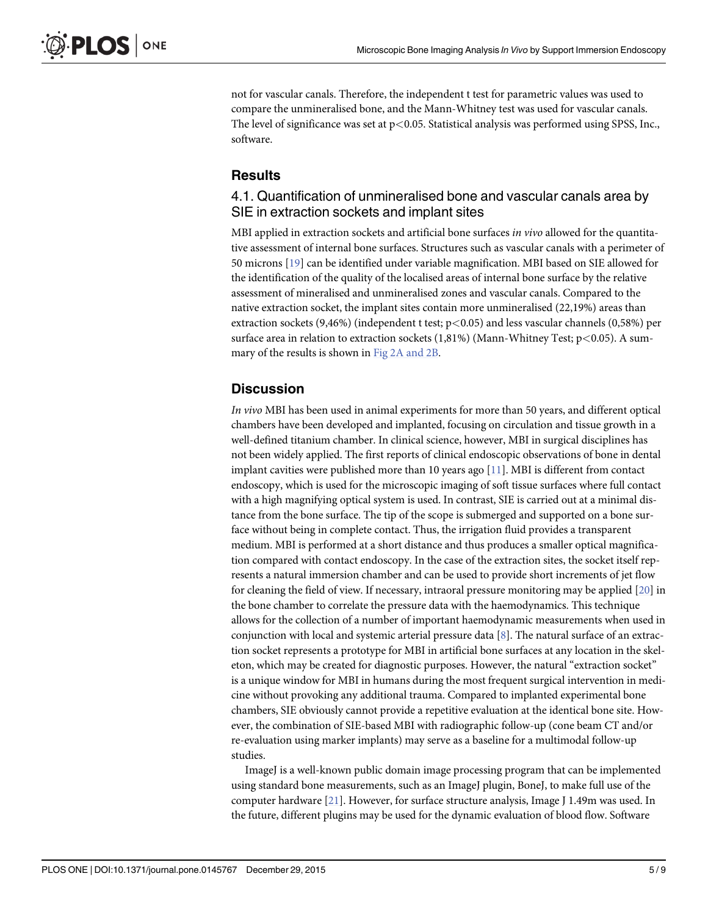<span id="page-4-0"></span>not for vascular canals. Therefore, the independent t test for parametric values was used to compare the unmineralised bone, and the Mann-Whitney test was used for vascular canals. The level of significance was set at  $p<0.05$ . Statistical analysis was performed using SPSS, Inc., software.

#### **Results**

#### 4.1. Quantification of unmineralised bone and vascular canals area by SIE in extraction sockets and implant sites

MBI applied in extraction sockets and artificial bone surfaces in vivo allowed for the quantitative assessment of internal bone surfaces. Structures such as vascular canals with a perimeter of 50 microns [\[19\]](#page-7-0) can be identified under variable magnification. MBI based on SIE allowed for the identification of the quality of the localised areas of internal bone surface by the relative assessment of mineralised and unmineralised zones and vascular canals. Compared to the native extraction socket, the implant sites contain more unmineralised (22,19%) areas than extraction sockets (9,46%) (independent t test; p<0.05) and less vascular channels (0,58%) per surface area in relation to extraction sockets  $(1,81\%)$  (Mann-Whitney Test; p<0.05). A summary of the results is shown in [Fig 2A and 2B](#page-3-0).

#### **Discussion**

In vivo MBI has been used in animal experiments for more than 50 years, and different optical chambers have been developed and implanted, focusing on circulation and tissue growth in a well-defined titanium chamber. In clinical science, however, MBI in surgical disciplines has not been widely applied. The first reports of clinical endoscopic observations of bone in dental implant cavities were published more than 10 years ago [\[11](#page-7-0)]. MBI is different from contact endoscopy, which is used for the microscopic imaging of soft tissue surfaces where full contact with a high magnifying optical system is used. In contrast, SIE is carried out at a minimal distance from the bone surface. The tip of the scope is submerged and supported on a bone surface without being in complete contact. Thus, the irrigation fluid provides a transparent medium. MBI is performed at a short distance and thus produces a smaller optical magnification compared with contact endoscopy. In the case of the extraction sites, the socket itself represents a natural immersion chamber and can be used to provide short increments of jet flow for cleaning the field of view. If necessary, intraoral pressure monitoring may be applied [[20](#page-7-0)] in the bone chamber to correlate the pressure data with the haemodynamics. This technique allows for the collection of a number of important haemodynamic measurements when used in conjunction with local and systemic arterial pressure data  $[8]$  $[8]$ . The natural surface of an extraction socket represents a prototype for MBI in artificial bone surfaces at any location in the skeleton, which may be created for diagnostic purposes. However, the natural "extraction socket" is a unique window for MBI in humans during the most frequent surgical intervention in medicine without provoking any additional trauma. Compared to implanted experimental bone chambers, SIE obviously cannot provide a repetitive evaluation at the identical bone site. However, the combination of SIE-based MBI with radiographic follow-up (cone beam CT and/or re-evaluation using marker implants) may serve as a baseline for a multimodal follow-up studies.

ImageJ is a well-known public domain image processing program that can be implemented using standard bone measurements, such as an ImageJ plugin, BoneJ, to make full use of the computer hardware [[21\]](#page-7-0). However, for surface structure analysis, Image J 1.49m was used. In the future, different plugins may be used for the dynamic evaluation of blood flow. Software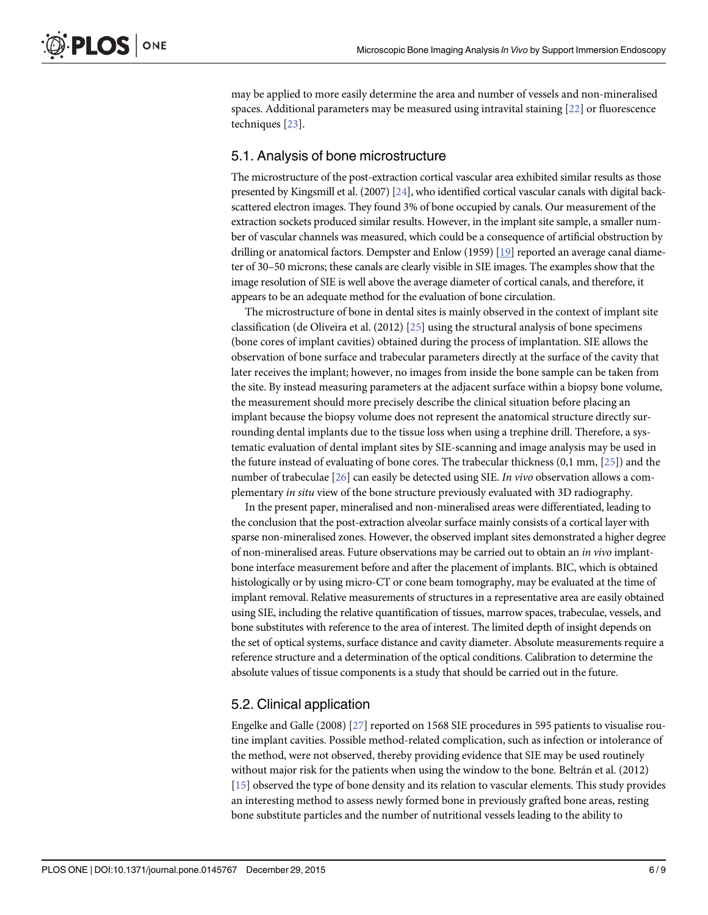<span id="page-5-0"></span>may be applied to more easily determine the area and number of vessels and non-mineralised spaces. Additional parameters may be measured using intravital staining [\[22\]](#page-7-0) or fluorescence techniques [\[23](#page-7-0)].

#### 5.1. Analysis of bone microstructure

The microstructure of the post-extraction cortical vascular area exhibited similar results as those presented by Kingsmill et al. (2007) [[24\]](#page-8-0), who identified cortical vascular canals with digital backscattered electron images. They found 3% of bone occupied by canals. Our measurement of the extraction sockets produced similar results. However, in the implant site sample, a smaller number of vascular channels was measured, which could be a consequence of artificial obstruction by drilling or anatomical factors. Dempster and Enlow (1959) [\[19\]](#page-7-0) reported an average canal diameter of 30–50 microns; these canals are clearly visible in SIE images. The examples show that the image resolution of SIE is well above the average diameter of cortical canals, and therefore, it appears to be an adequate method for the evaluation of bone circulation.

The microstructure of bone in dental sites is mainly observed in the context of implant site classification (de Oliveira et al. (2012) [[25](#page-8-0)] using the structural analysis of bone specimens (bone cores of implant cavities) obtained during the process of implantation. SIE allows the observation of bone surface and trabecular parameters directly at the surface of the cavity that later receives the implant; however, no images from inside the bone sample can be taken from the site. By instead measuring parameters at the adjacent surface within a biopsy bone volume, the measurement should more precisely describe the clinical situation before placing an implant because the biopsy volume does not represent the anatomical structure directly surrounding dental implants due to the tissue loss when using a trephine drill. Therefore, a systematic evaluation of dental implant sites by SIE-scanning and image analysis may be used in the future instead of evaluating of bone cores. The trabecular thickness (0,1 mm, [[25](#page-8-0)]) and the number of trabeculae  $[26]$  can easily be detected using SIE. In vivo observation allows a complementary in situ view of the bone structure previously evaluated with 3D radiography.

In the present paper, mineralised and non-mineralised areas were differentiated, leading to the conclusion that the post-extraction alveolar surface mainly consists of a cortical layer with sparse non-mineralised zones. However, the observed implant sites demonstrated a higher degree of non-mineralised areas. Future observations may be carried out to obtain an in vivo implantbone interface measurement before and after the placement of implants. BIC, which is obtained histologically or by using micro-CT or cone beam tomography, may be evaluated at the time of implant removal. Relative measurements of structures in a representative area are easily obtained using SIE, including the relative quantification of tissues, marrow spaces, trabeculae, vessels, and bone substitutes with reference to the area of interest. The limited depth of insight depends on the set of optical systems, surface distance and cavity diameter. Absolute measurements require a reference structure and a determination of the optical conditions. Calibration to determine the absolute values of tissue components is a study that should be carried out in the future.

#### 5.2. Clinical application

Engelke and Galle (2008) [\[27\]](#page-8-0) reported on 1568 SIE procedures in 595 patients to visualise routine implant cavities. Possible method-related complication, such as infection or intolerance of the method, were not observed, thereby providing evidence that SIE may be used routinely without major risk for the patients when using the window to the bone. Beltrán et al. (2012) [\[15](#page-7-0)] observed the type of bone density and its relation to vascular elements. This study provides an interesting method to assess newly formed bone in previously grafted bone areas, resting bone substitute particles and the number of nutritional vessels leading to the ability to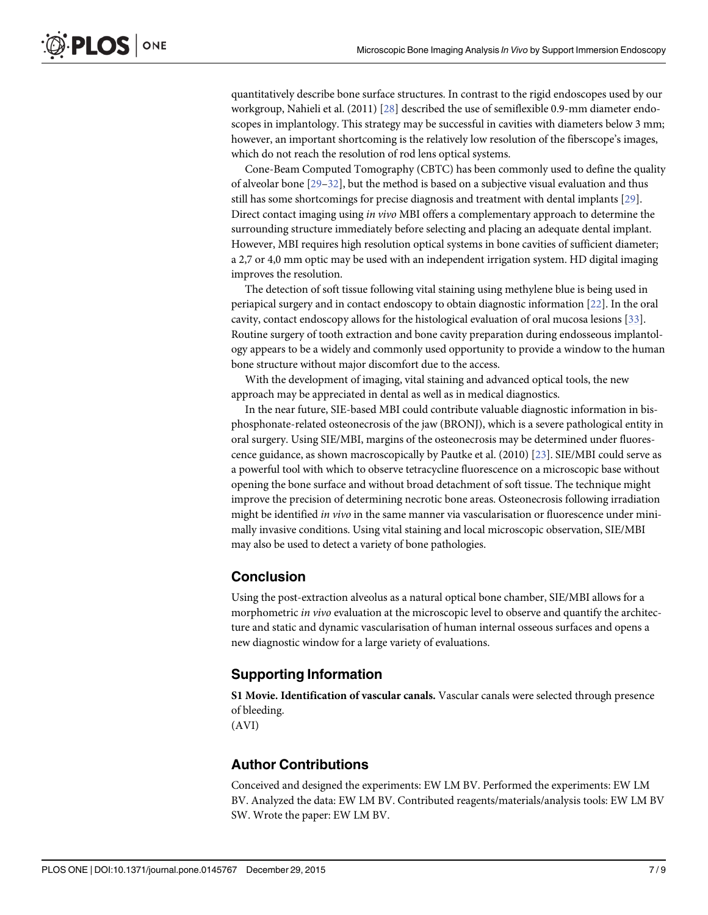<span id="page-6-0"></span>quantitatively describe bone surface structures. In contrast to the rigid endoscopes used by our workgroup, Nahieli et al. (2011) [[28\]](#page-8-0) described the use of semiflexible 0.9-mm diameter endoscopes in implantology. This strategy may be successful in cavities with diameters below 3 mm; however, an important shortcoming is the relatively low resolution of the fiberscope's images, which do not reach the resolution of rod lens optical systems.

Cone-Beam Computed Tomography (CBTC) has been commonly used to define the quality of alveolar bone  $[29-32]$  $[29-32]$  $[29-32]$  $[29-32]$  $[29-32]$ , but the method is based on a subjective visual evaluation and thus still has some shortcomings for precise diagnosis and treatment with dental implants [\[29\]](#page-8-0). Direct contact imaging using in vivo MBI offers a complementary approach to determine the surrounding structure immediately before selecting and placing an adequate dental implant. However, MBI requires high resolution optical systems in bone cavities of sufficient diameter; a 2,7 or 4,0 mm optic may be used with an independent irrigation system. HD digital imaging improves the resolution.

The detection of soft tissue following vital staining using methylene blue is being used in periapical surgery and in contact endoscopy to obtain diagnostic information [[22](#page-7-0)]. In the oral cavity, contact endoscopy allows for the histological evaluation of oral mucosa lesions [[33](#page-8-0)]. Routine surgery of tooth extraction and bone cavity preparation during endosseous implantology appears to be a widely and commonly used opportunity to provide a window to the human bone structure without major discomfort due to the access.

With the development of imaging, vital staining and advanced optical tools, the new approach may be appreciated in dental as well as in medical diagnostics.

In the near future, SIE-based MBI could contribute valuable diagnostic information in bisphosphonate-related osteonecrosis of the jaw (BRONJ), which is a severe pathological entity in oral surgery. Using SIE/MBI, margins of the osteonecrosis may be determined under fluorescence guidance, as shown macroscopically by Pautke et al. (2010) [\[23\]](#page-7-0). SIE/MBI could serve as a powerful tool with which to observe tetracycline fluorescence on a microscopic base without opening the bone surface and without broad detachment of soft tissue. The technique might improve the precision of determining necrotic bone areas. Osteonecrosis following irradiation might be identified in vivo in the same manner via vascularisation or fluorescence under minimally invasive conditions. Using vital staining and local microscopic observation, SIE/MBI may also be used to detect a variety of bone pathologies.

#### Conclusion

Using the post-extraction alveolus as a natural optical bone chamber, SIE/MBI allows for a morphometric *in vivo* evaluation at the microscopic level to observe and quantify the architecture and static and dynamic vascularisation of human internal osseous surfaces and opens a new diagnostic window for a large variety of evaluations.

#### Supporting Information

[S1 Movie](http://www.plosone.org/article/fetchSingleRepresentation.action?uri=info:doi/10.1371/journal.pone.0145767.s001). Identification of vascular canals. Vascular canals were selected through presence of bleeding.

(AVI)

#### Author Contributions

Conceived and designed the experiments: EW LM BV. Performed the experiments: EW LM BV. Analyzed the data: EW LM BV. Contributed reagents/materials/analysis tools: EW LM BV SW. Wrote the paper: EW LM BV.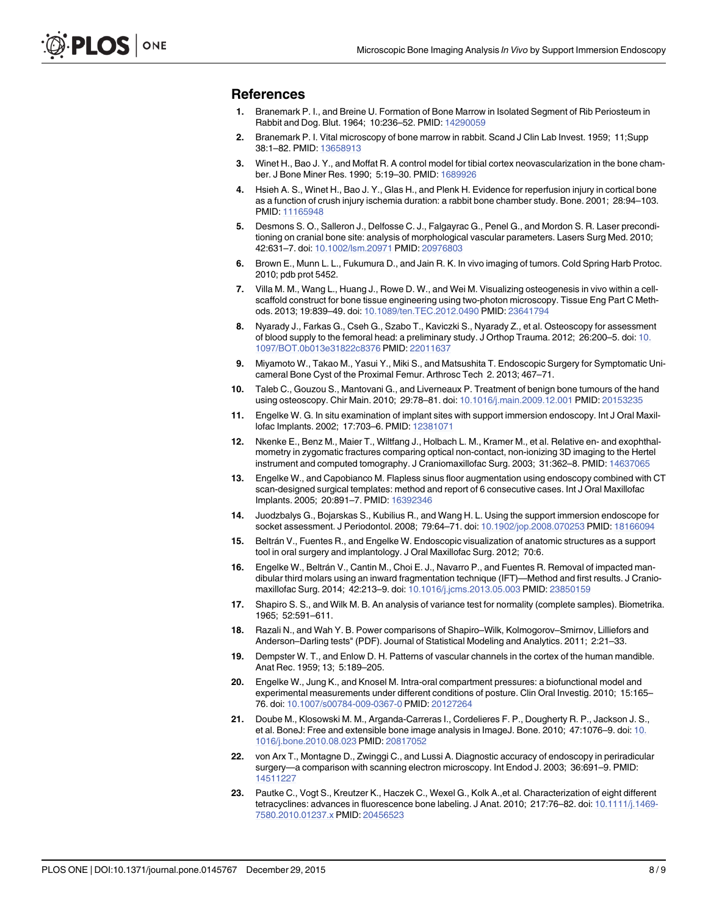#### <span id="page-7-0"></span>References

- [1.](#page-0-0) Branemark P. I., and Breine U. Formation of Bone Marrow in Isolated Segment of Rib Periosteum in Rabbit and Dog. Blut. 1964; 10:236–52. PMID: [14290059](http://www.ncbi.nlm.nih.gov/pubmed/14290059)
- [2.](#page-0-0) Branemark P. I. Vital microscopy of bone marrow in rabbit. Scand J Clin Lab Invest. 1959; 11;Supp 38:1–82. PMID: [13658913](http://www.ncbi.nlm.nih.gov/pubmed/13658913)
- [3.](#page-0-0) Winet H., Bao J. Y., and Moffat R. A control model for tibial cortex neovascularization in the bone chamber. J Bone Miner Res. 1990; 5:19–30. PMID: [1689926](http://www.ncbi.nlm.nih.gov/pubmed/1689926)
- [4.](#page-0-0) Hsieh A. S., Winet H., Bao J. Y., Glas H., and Plenk H. Evidence for reperfusion injury in cortical bone as a function of crush injury ischemia duration: a rabbit bone chamber study. Bone. 2001; 28:94–103. PMID: [11165948](http://www.ncbi.nlm.nih.gov/pubmed/11165948)
- [5.](#page-1-0) Desmons S. O., Salleron J., Delfosse C. J., Falgayrac G., Penel G., and Mordon S. R. Laser preconditioning on cranial bone site: analysis of morphological vascular parameters. Lasers Surg Med. 2010; 42:631–7. doi: [10.1002/lsm.20971](http://dx.doi.org/10.1002/lsm.20971) PMID: [20976803](http://www.ncbi.nlm.nih.gov/pubmed/20976803)
- [6.](#page-1-0) Brown E., Munn L. L., Fukumura D., and Jain R. K. In vivo imaging of tumors. Cold Spring Harb Protoc. 2010; pdb prot 5452.
- [7.](#page-1-0) Villa M. M., Wang L., Huang J., Rowe D. W., and Wei M. Visualizing osteogenesis in vivo within a cellscaffold construct for bone tissue engineering using two-photon microscopy. Tissue Eng Part C Methods. 2013; 19:839–49. doi: [10.1089/ten.TEC.2012.0490](http://dx.doi.org/10.1089/ten.TEC.2012.0490) PMID: [23641794](http://www.ncbi.nlm.nih.gov/pubmed/23641794)
- [8.](#page-1-0) Nyarady J., Farkas G., Cseh G., Szabo T., Kaviczki S., Nyarady Z., et al. Osteoscopy for assessment of blood supply to the femoral head: a preliminary study. J Orthop Trauma. 2012; 26:200–5. doi: [10.](http://dx.doi.org/10.1097/BOT.0b013e31822c8376) [1097/BOT.0b013e31822c8376](http://dx.doi.org/10.1097/BOT.0b013e31822c8376) PMID: [22011637](http://www.ncbi.nlm.nih.gov/pubmed/22011637)
- [9.](#page-1-0) Miyamoto W., Takao M., Yasui Y., Miki S., and Matsushita T. Endoscopic Surgery for Symptomatic Unicameral Bone Cyst of the Proximal Femur. Arthrosc Tech 2. 2013; 467–71.
- [10.](#page-1-0) Taleb C., Gouzou S., Mantovani G., and Liverneaux P. Treatment of benign bone tumours of the hand using osteoscopy. Chir Main. 2010; 29:78–81. doi: [10.1016/j.main.2009.12.001](http://dx.doi.org/10.1016/j.main.2009.12.001) PMID: [20153235](http://www.ncbi.nlm.nih.gov/pubmed/20153235)
- [11.](#page-1-0) Engelke W. G. In situ examination of implant sites with support immersion endoscopy. Int J Oral Maxillofac Implants. 2002; 17:703–6. PMID: [12381071](http://www.ncbi.nlm.nih.gov/pubmed/12381071)
- 12. Nkenke E., Benz M., Maier T., Wiltfang J., Holbach L. M., Kramer M., et al. Relative en- and exophthalmometry in zygomatic fractures comparing optical non-contact, non-ionizing 3D imaging to the Hertel instrument and computed tomography. J Craniomaxillofac Surg. 2003; 31:362–8. PMID: [14637065](http://www.ncbi.nlm.nih.gov/pubmed/14637065)
- 13. Engelke W., and Capobianco M. Flapless sinus floor augmentation using endoscopy combined with CT scan-designed surgical templates: method and report of 6 consecutive cases. Int J Oral Maxillofac Implants. 2005; 20:891–7. PMID: [16392346](http://www.ncbi.nlm.nih.gov/pubmed/16392346)
- 14. Juodzbalys G., Bojarskas S., Kubilius R., and Wang H. L. Using the support immersion endoscope for socket assessment. J Periodontol. 2008; 79:64–71. doi: [10.1902/jop.2008.070253](http://dx.doi.org/10.1902/jop.2008.070253) PMID: [18166094](http://www.ncbi.nlm.nih.gov/pubmed/18166094)
- [15.](#page-1-0) Beltrán V., Fuentes R., and Engelke W. Endoscopic visualization of anatomic structures as a support tool in oral surgery and implantology. J Oral Maxillofac Surg. 2012; 70:6.
- [16.](#page-1-0) Engelke W., Beltrán V., Cantin M., Choi E. J., Navarro P., and Fuentes R. Removal of impacted mandibular third molars using an inward fragmentation technique (IFT)—Method and first results. J Cranio-maxillofac Surg. 2014; 42:213-9. doi: [10.1016/j.jcms.2013.05.003](http://dx.doi.org/10.1016/j.jcms.2013.05.003) PMID: [23850159](http://www.ncbi.nlm.nih.gov/pubmed/23850159)
- [17.](#page-2-0) Shapiro S. S., and Wilk M. B. An analysis of variance test for normality (complete samples). Biometrika. 1965; 52:591–611.
- [18.](#page-2-0) Razali N., and Wah Y. B. Power comparisons of Shapiro–Wilk, Kolmogorov–Smirnov, Lilliefors and Anderson–Darling tests" (PDF). Journal of Statistical Modeling and Analytics. 2011; 2:21–33.
- [19.](#page-4-0) Dempster W. T., and Enlow D. H. Patterns of vascular channels in the cortex of the human mandible. Anat Rec. 1959; 13; 5:189–205.
- [20.](#page-4-0) Engelke W., Jung K., and Knosel M. Intra-oral compartment pressures: a biofunctional model and experimental measurements under different conditions of posture. Clin Oral Investig. 2010; 15:165– 76. doi: [10.1007/s00784-009-0367-0](http://dx.doi.org/10.1007/s00784-009-0367-0) PMID: [20127264](http://www.ncbi.nlm.nih.gov/pubmed/20127264)
- [21.](#page-4-0) Doube M., Klosowski M. M., Arganda-Carreras I., Cordelieres F. P., Dougherty R. P., Jackson J. S., et al. BoneJ: Free and extensible bone image analysis in ImageJ. Bone. 2010; 47:1076–9. doi: [10.](http://dx.doi.org/10.1016/j.bone.2010.08.023) [1016/j.bone.2010.08.023](http://dx.doi.org/10.1016/j.bone.2010.08.023) PMID: [20817052](http://www.ncbi.nlm.nih.gov/pubmed/20817052)
- [22.](#page-5-0) von Arx T., Montagne D., Zwinggi C., and Lussi A. Diagnostic accuracy of endoscopy in periradicular surgery—a comparison with scanning electron microscopy. Int Endod J. 2003; 36:691–9. PMID: [14511227](http://www.ncbi.nlm.nih.gov/pubmed/14511227)
- [23.](#page-5-0) Pautke C., Vogt S., Kreutzer K., Haczek C., Wexel G., Kolk A., et al. Characterization of eight different tetracyclines: advances in fluorescence bone labeling. J Anat. 2010; 217:76–82. doi: [10.1111/j.1469-](http://dx.doi.org/10.1111/j.1469-7580.2010.01237.x) [7580.2010.01237.x](http://dx.doi.org/10.1111/j.1469-7580.2010.01237.x) PMID: [20456523](http://www.ncbi.nlm.nih.gov/pubmed/20456523)